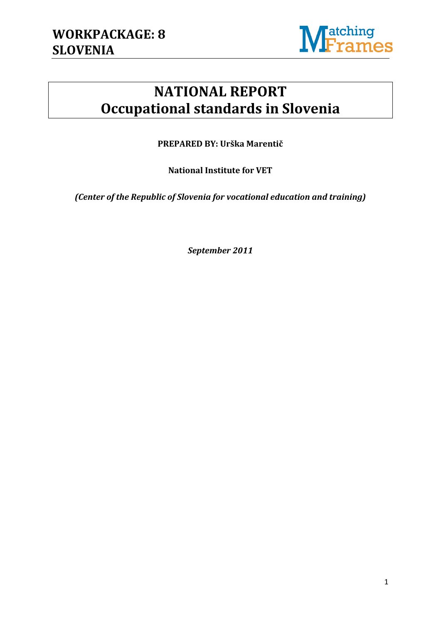

# **NATIONAL REPORT Occupational standards in Slovenia**

**PREPARED BY: Urška Marentič**

**National Institute for VET**

*(Center of the Republic of Slovenia for vocational education and training)*

*September 2011*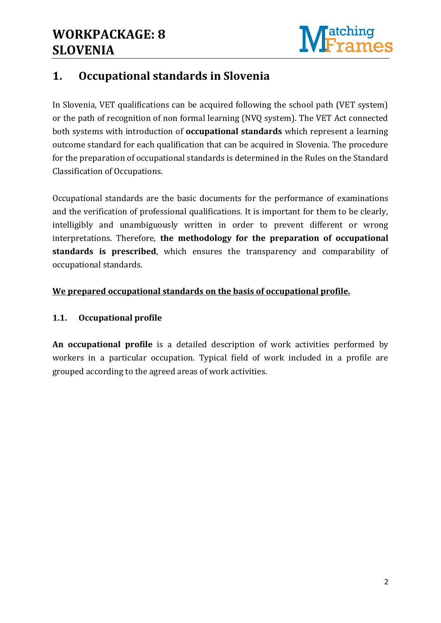

## **1. Occupational standards in Slovenia**

In Slovenia, VET qualifications can be acquired following the school path (VET system) or the path of recognition of non formal learning (NVQ system). The VET Act connected both systems with introduction of **occupational standards** which represent a learning outcome standard for each qualification that can be acquired in Slovenia. The procedure for the preparation of occupational standards is determined in the Rules on the Standard Classification of Occupations.

Occupational standards are the basic documents for the performance of examinations and the verification of professional qualifications. It is important for them to be clearly, intelligibly and unambiguously written in order to prevent different or wrong interpretations. Therefore, **the methodology for the preparation of occupational standards is prescribed**, which ensures the transparency and comparability of occupational standards.

#### **We prepared occupational standards on the basis of occupational profile.**

### **1.1. Occupational profile**

**An occupational profile** is a detailed description of work activities performed by workers in a particular occupation. Typical field of work included in a profile are grouped according to the agreed areas of work activities.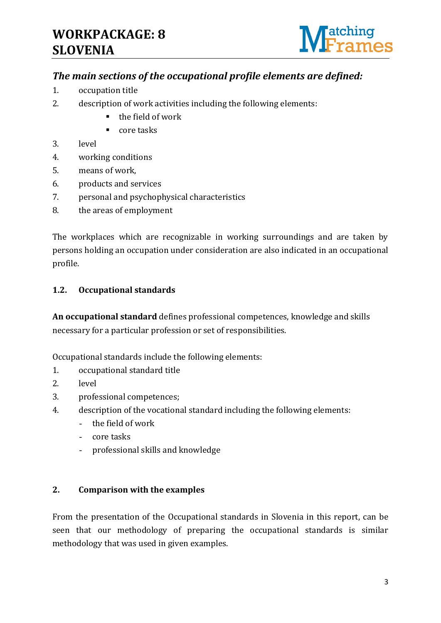# **WORKPACKAGE: 8 SLOVENIA**



### *The main sections of the occupational profile elements are defined:*

- 1. occupation title
- 2. description of work activities including the following elements:
	- the field of work
	- $\blacksquare$  core tasks
- 3. level
- 4. working conditions
- 5. means of work,
- 6. products and services
- 7. personal and psychophysical characteristics
- 8. the areas of employment

The workplaces which are recognizable in working surroundings and are taken by persons holding an occupation under consideration are also indicated in an occupational profile.

#### **1.2. Occupational standards**

**An occupational standard** defines professional competences, knowledge and skills necessary for a particular profession or set of responsibilities.

Occupational standards include the following elements:

- 1. occupational standard title
- 2. level
- 3. professional competences;
- 4. description of the vocational standard including the following elements:
	- the field of work
	- core tasks
	- professional skills and knowledge

#### **2. Comparison with the examples**

From the presentation of the Occupational standards in Slovenia in this report, can be seen that our methodology of preparing the occupational standards is similar methodology that was used in given examples.